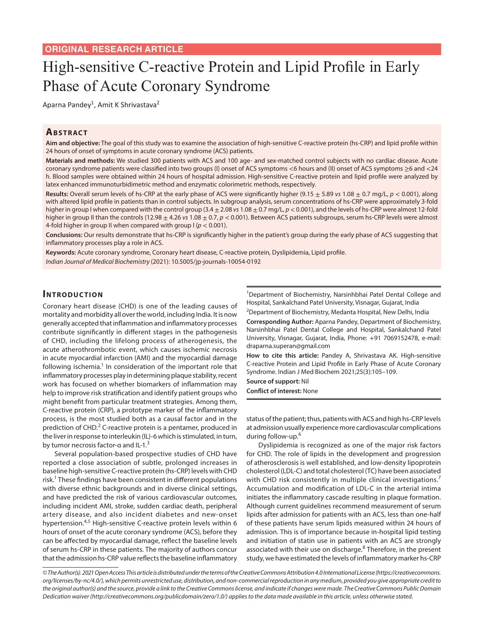# High-sensitive C-reactive Protein and Lipid Profile in Early Phase of Acute Coronary Syndrome

Aparna Pandey<sup>1</sup>, Amit K Shrivastava<sup>2</sup>

### **ABSTRACT**

**Aim and objective:** The goal of this study was to examine the association of high-sensitive C-reactive protein (hs-CRP) and lipid profile within 24 hours of onset of symptoms in acute coronary syndrome (ACS) patients.

**Materials and methods:** We studied 300 patients with ACS and 100 age- and sex-matched control subjects with no cardiac disease. Acute coronary syndrome patients were classified into two groups (I) onset of ACS symptoms <6 hours and (II) onset of ACS symptoms ≥6 and <24 h. Blood samples were obtained within 24 hours of hospital admission. High-sensitive C-reactive protein and lipid profile were analyzed by latex enhanced immunoturbidimetric method and enzymatic colorimetric methods, respectively.

**Results:** Overall serum levels of hs-CRP at the early phase of ACS were significantly higher (9.15 ± 5.89 *vs* 1.08 ± 0.7 mg/L, *p* < 0.001), along with altered lipid profile in patients than in control subjects. In subgroup analysis, serum concentrations of hs-CRP were approximately 3-fold higher in group I when compared with the control group (3.4 ± 2.08 *vs* 1.08 ± 0.7 mg/L, *p* < 0.001), and the levels of hs-CRP were almost 12-fold higher in group II than the controls (12.98 ± 4.26 *vs* 1.08 ± 0.7, *p* < 0.001). Between ACS patients subgroups, serum hs-CRP levels were almost 4-fold higher in group II when compared with group I (*p* < 0.001).

**Conclusions:** Our results demonstrate that hs-CRP is significantly higher in the patient's group during the early phase of ACS suggesting that inflammatory processes play a role in ACS.

**Keywords:** Acute coronary syndrome, Coronary heart disease, C-reactive protein, Dyslipidemia, Lipid profile. *Indian Journal of Medical Biochemistry* (2021): 10.5005/jp-journals-10054-0192

#### **INTRODUCTION**

Coronary heart disease (CHD) is one of the leading causes of mortality and morbidity all over the world, including India. It is now generally accepted that inflammation and inflammatory processes contribute significantly in different stages in the pathogenesis of CHD, including the lifelong process of atherogenesis, the acute atherothrombotic event, which causes ischemic necrosis in acute myocardial infarction (AMI) and the myocardial damage following ischemia.<sup>1</sup> In consideration of the important role that inflammatory processes play in determining plaque stability, recent work has focused on whether biomarkers of inflammation may help to improve risk stratification and identify patient groups who might benefit from particular treatment strategies. Among them, C-reactive protein (CRP), a prototype marker of the inflammatory process, is the most studied both as a causal factor and in the prediction of CHD.<sup>2</sup> C-reactive protein is a pentamer, produced in the liver in response to interleukin (IL)-6 which is stimulated, in turn, by tumor necrosis factor- $\alpha$  and IL-1.<sup>3</sup>

Several population-based prospective studies of CHD have reported a close association of subtle, prolonged increases in baseline high-sensitive C-reactive protein (hs-CRP) levels with CHD risk.<sup>1</sup> These findings have been consistent in different populations with diverse ethnic backgrounds and in diverse clinical settings, and have predicted the risk of various cardiovascular outcomes, including incident AMI, stroke, sudden cardiac death, peripheral artery disease, and also incident diabetes and new-onset hypertension.<sup>4,5</sup> High-sensitive C-reactive protein levels within 6 hours of onset of the acute coronary syndrome (ACS), before they can be affected by myocardial damage, reflect the baseline levels of serum hs-CRP in these patients. The majority of authors concur that the admission hs-CRP value reflects the baseline inflammatory

<sup>1</sup>Department of Biochemistry, Narsinhbhai Patel Dental College and Hospital, Sankalchand Patel University, Visnagar, Gujarat, India

<sup>2</sup>Department of Biochemistry, Medanta Hospital, New Delhi, India

**Corresponding Author:** Aparna Pandey, Department of Biochemistry, Narsinhbhai Patel Dental College and Hospital, Sankalchand Patel University, Visnagar, Gujarat, India, Phone: +91 7069152478, e-mail: draparna.superan@gmail.com

**How to cite this article:** Pandey A, Shrivastava AK. High-sensitive C-reactive Protein and Lipid Profile in Early Phase of Acute Coronary Syndrome. Indian J Med Biochem 2021;25(3):105–109.

**Source of support:** Nil

**Conflict of interest:** None

status of the patient; thus, patients with ACS and high hs-CRP levels at admission usually experience more cardiovascular complications during follow-up.<sup>6</sup>

Dyslipidemia is recognized as one of the major risk factors for CHD. The role of lipids in the development and progression of atherosclerosis is well established, and low-density lipoprotein cholesterol (LDL-C) and total cholesterol (TC) have been associated with CHD risk consistently in multiple clinical investigations.<sup>7</sup> Accumulation and modification of LDL-C in the arterial intima initiates the inflammatory cascade resulting in plaque formation. Although current guidelines recommend measurement of serum lipids after admission for patients with an ACS, less than one-half of these patients have serum lipids measured within 24 hours of admission. This is of importance because in-hospital lipid testing and initiation of statin use in patients with an ACS are strongly associated with their use on discharge.<sup>8</sup> Therefore, in the present study, we have estimated the levels of inflammatory marker hs-CRP

*© The Author(s). 2021 Open Access This article is distributed under the terms of the Creative Commons Attribution 4.0 International License (https://creativecommons. org/licenses/by-nc/4.0/), which permits unrestricted use, distribution, and non-commercial reproduction in any medium, provided you give appropriate credit to the original author(s) and the source, provide a link to the Creative Commons license, and indicate if changes were made. The Creative Commons Public Domain Dedication waiver (http://creativecommons.org/publicdomain/zero/1.0/) applies to the data made available in this article, unless otherwise stated.*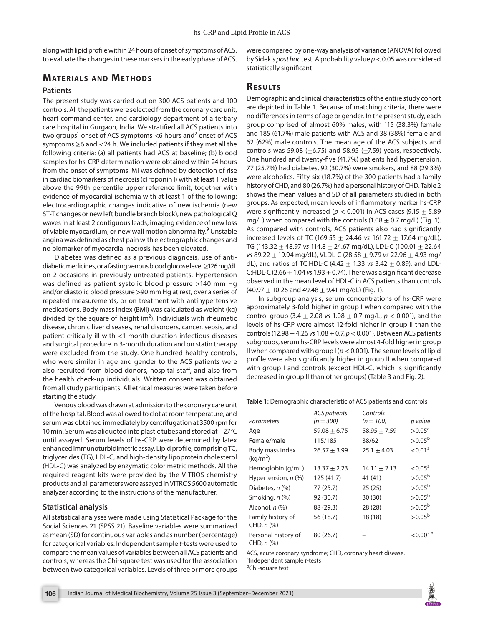along with lipid profile within 24 hours of onset of symptoms of ACS, to evaluate the changes in these markers in the early phase of ACS.

## **MATERIALS AND METHODS**

#### **Patients**

The present study was carried out on 300 ACS patients and 100 controls. All the patients were selected from the coronary care unit, heart command center, and cardiology department of a tertiary care hospital in Gurgaon, India. We stratified all ACS patients into two groups<sup>1</sup> onset of ACS symptoms <6 hours and<sup>2</sup> onset of ACS symptoms ≥6 and <24 h. We included patients if they met all the following criteria: (a) all patients had ACS at baseline; (b) blood samples for hs-CRP determination were obtained within 24 hours from the onset of symptoms. MI was defined by detection of rise in cardiac biomarkers of necrosis (cTroponin I) with at least 1 value above the 99th percentile upper reference limit, together with evidence of myocardial ischemia with at least 1 of the following: electrocardiographic changes indicative of new ischemia (new ST-T changes or new left bundle branch block), new pathological Q waves in at least 2 contiguous leads, imaging evidence of new loss of viable myocardium, or new wall motion abnormality.<sup>9</sup> Unstable angina was defined as chest pain with electrographic changes and no biomarker of myocardial necrosis has been elevated.

Diabetes was defined as a previous diagnosis, use of antidiabetic medicines, or a fasting venous blood glucose level ≥126 mg/dL on 2 occasions in previously untreated patients. Hypertension was defined as patient systolic blood pressure >140 mm Hg and/or diastolic blood pressure >90 mm Hg at rest, over a series of repeated measurements, or on treatment with antihypertensive medications. Body mass index (BMI) was calculated as weight (kg) divided by the square of height ( $m<sup>2</sup>$ ). Individuals with rheumatic disease, chronic liver diseases, renal disorders, cancer, sepsis, and patient critically ill with <1-month duration infectious diseases and surgical procedure in 3-month duration and on statin therapy were excluded from the study. One hundred healthy controls, who were similar in age and gender to the ACS patients were also recruited from blood donors, hospital staff, and also from the health check-up individuals. Written consent was obtained from all study participants. All ethical measures were taken before starting the study.

Venous blood was drawn at admission to the coronary care unit of the hospital. Blood was allowed to clot at room temperature, and serum was obtained immediately by centrifugation at 3500 rpm for 10 min. Serum was aliquoted into plastic tubes and stored at −27°C until assayed. Serum levels of hs-CRP were determined by latex enhanced immunoturbidimetric assay. Lipid profile, comprising TC, triglycerides (TG), LDL-C, and high-density lipoprotein cholesterol (HDL-C) was analyzed by enzymatic colorimetric methods. All the required reagent kits were provided by the VITROS chemistry products and all parameters were assayed in VITROS 5600 automatic analyzer according to the instructions of the manufacturer.

#### **Statistical analysis**

All statistical analyses were made using Statistical Package for the Social Sciences 21 (SPSS 21). Baseline variables were summarized as mean (SD) for continuous variables and as number (percentage) for categorical variables. Independent sample *t*-tests were used to compare the mean values of variables between all ACS patients and controls, whereas the Chi-square test was used for the association between two categorical variables. Levels of three or more groups

were compared by one-way analysis of variance (ANOVA) followed by Sidek's *post hoc* test. A probability value *p*< 0.05 was considered statistically significant.

## **Re s u lts**

Demographic and clinical characteristics of the entire study cohort are depicted in Table 1. Because of matching criteria, there were no differences in terms of age or gender. In the present study, each group comprised of almost 60% males, with 115 (38.3%) female and 185 (61.7%) male patients with ACS and 38 (38%) female and 62 (62%) male controls. The mean age of the ACS subjects and controls was 59.08 ( $\pm$ 6.75) and 58.95 ( $\pm$ 7.59) years, respectively. One hundred and twenty-five (41.7%) patients had hypertension, 77 (25.7%) had diabetes, 92 (30.7%) were smokers, and 88 (29.3%) were alcoholics. Fifty-six (18.7%) of the 300 patients had a family history of CHD, and 80 (26.7%) had a personal history of CHD. Table 2 shows the mean values and SD of all parameters studied in both groups. As expected, mean levels of inflammatory marker hs-CRP were significantly increased ( $p < 0.001$ ) in ACS cases (9.15  $\pm$  5.89 mg/L) when compared with the controls  $(1.08 \pm 0.7 \text{ mg/L})$  (Fig. 1). As compared with controls, ACS patients also had significantly increased levels of TC (169.55 ± 24.46 *vs* 161.72 ± 17.64 mg/dL), TG (143.32 ± 48.97 *vs* 114.8 ± 24.67 mg/dL), LDL-C (100.01 ± 22.64 *vs* 89.22 ± 19.94 mg/dL), VLDL-C (28.58 ± 9.79 *vs* 22.96 ± 4.93 mg/ dL), and ratios of TC:HDL-C (4.42 ± 1.33 *vs* 3.42 ± 0.89), and LDL-C:HDL-C (2.66 ± 1.04 *vs* 1.93 ± 0.74). There was a significant decrease observed in the mean level of HDL-C in ACS patients than controls  $(40.97 \pm 10.26$  and  $49.48 \pm 9.41$  mg/dL) (Fig. 1).

In subgroup analysis, serum concentrations of hs-CRP were approximately 3-fold higher in group I when compared with the control group (3.4 ± 2.08 *vs* 1.08 ± 0.7 mg/L, *p* < 0.001), and the levels of hs-CRP were almost 12-fold higher in group II than the controls (12.98 ± 4.26 *vs* 1.08 ± 0.7, *p*< 0.001). Between ACS patients subgroups, serum hs-CRP levels were almost 4-fold higher in group II when compared with group I (*p*< 0.001). The serum levels of lipid profile were also significantly higher in group II when compared with group I and controls (except HDL-C, which is significantly decreased in group II than other groups) (Table 3 and Fig. 2).

**Table 1:** Demographic characteristic of ACS patients and controls

| Parameters                              | <b>ACS</b> patients<br>$(n = 300)$ | Controls<br>$(n = 100)$ | p value                |
|-----------------------------------------|------------------------------------|-------------------------|------------------------|
|                                         |                                    |                         |                        |
| Age                                     | $59.08 \pm 6.75$                   | $58.95 \pm 7.59$        | $>0.05^{\circ}$        |
| Female/male                             | 115/185                            | 38/62                   | $>0.05^{b}$            |
| Body mass index<br>(kq/m <sup>2</sup> ) | $26.57 + 3.99$                     | $25.1 + 4.03$           | < 0.01 <sup>a</sup>    |
| Hemoglobin (g/mL)                       | $13.37 \pm 2.23$                   | $14.11 \pm 2.13$        | ${<}0.05$ <sup>a</sup> |
| Hypertension, n (%)                     | 125 (41.7)                         | 41 (41)                 | $>0.05^{b}$            |
| Diabetes, $n$ $(\%)$                    | 77 (25.7)                          | 25(25)                  | $>0.05^{b}$            |
| Smoking, n (%)                          | 92 (30.7)                          | 30(30)                  | $>0.05^{b}$            |
| Alcohol, n (%)                          | 88 (29.3)                          | 28 (28)                 | $>0.05^{b}$            |
| Family history of<br>CHD, $n$ $%$       | 56 (18.7)                          | 18 (18)                 | $>0.05^{b}$            |
| Personal history of<br>CHD, $n$ $%$     | 80 (26.7)                          |                         | $<$ 0.001 <sup>b</sup> |

ACS, acute coronary syndrome; CHD, coronary heart disease. a Independent sample *t*-tests <sup>b</sup>Chi-square test

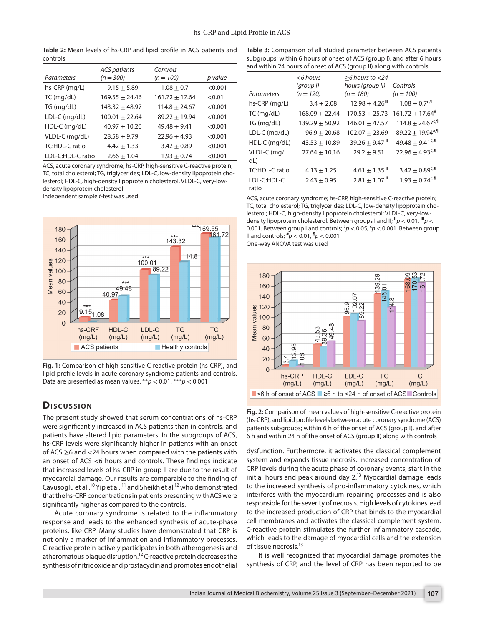**Table 2:** Mean levels of hs-CRP and lipid profile in ACS patients and controls

|                   | <b>ACS</b> patients | Controls           |         |
|-------------------|---------------------|--------------------|---------|
| Parameters        | $(n = 300)$         | $(n = 100)$        | p value |
| hs-CRP (mg/L)     | $9.15 \pm 5.89$     | $1.08 \pm 0.7$     | < 0.001 |
| $TC$ (mg/dL)      | $169.55 \pm 24.46$  | $161.72 \pm 17.64$ | < 0.01  |
| TG (mg/dL)        | $143.32 \pm 48.97$  | $114.8 \pm 24.67$  | < 0.001 |
| LDL-C (mg/dL)     | $100.01 \pm 22.64$  | $89.22 \pm 19.94$  | < 0.001 |
| HDL-C (mg/dL)     | $40.97 \pm 10.26$   | $49.48 \pm 9.41$   | < 0.001 |
| VLDL-C (mg/dL)    | $28.58 \pm 9.79$    | $22.96 \pm 4.93$   | < 0.001 |
| TC:HDL-C ratio    | $4.42 \pm 1.33$     | $3.42 \pm 0.89$    | < 0.001 |
| LDL-C:HDL-C ratio | $2.66 \pm 1.04$     | $1.93 + 0.74$      | < 0.001 |

ACS, acute coronary syndrome; hs-CRP, high-sensitive C-reactive protein; TC, total cholesterol; TG, triglycerides; LDL-C, low-density lipoprotein cholesterol; HDL-C, high-density lipoprotein cholesterol, VLDL-C, very-lowdensity lipoprotein cholesterol

Independent sample *t*-test was used



**Fig. 1:** Comparison of high-sensitive C-reactive protein (hs-CRP), and lipid profile levels in acute coronary syndrome patients and controls. Data are presented as mean values. \*\**p* < 0.01, \*\*\**p* < 0.001

### **Dis c u s sio n**

The present study showed that serum concentrations of hs-CRP were significantly increased in ACS patients than in controls, and patients have altered lipid parameters. In the subgroups of ACS, hs-CRP levels were significantly higher in patients with an onset of ACS ≥6 and <24 hours when compared with the patients with an onset of ACS <6 hours and controls. These findings indicate that increased levels of hs-CRP in group II are due to the result of myocardial damage. Our results are comparable to the finding of Cavusoglu et al.,<sup>10</sup> Yip et al.,<sup>11</sup> and Sheikh et al.<sup>12</sup> who demonstrated that the hs-CRP concentrations in patients presenting with ACS were significantly higher as compared to the controls.

Acute coronary syndrome is related to the inflammatory response and leads to the enhanced synthesis of acute-phase proteins, like CRP. Many studies have demonstrated that CRP is not only a marker of inflammation and inflammatory processes. C-reactive protein actively participates in both atherogenesis and atheromatous plaque disruption.<sup>12</sup> C-reactive protein decreases the synthesis of nitric oxide and prostacyclin and promotes endothelial

**Table 3:** Comparison of all studied parameter between ACS patients subgroups; within 6 hours of onset of ACS (group I), and after 6 hours and within 24 hours of onset of ACS (group II) along with controls

| Parameters           | $<$ 6 hours<br>(group I)<br>$(n = 120)$ | $>6$ hours to $<$ 24<br>hours (group II)<br>$(n = 180)$ | Controls<br>$(n = 100)$          |
|----------------------|-----------------------------------------|---------------------------------------------------------|----------------------------------|
| hs-CRP (mg/L)        | $3.4 \pm 2.08$                          | $12.98 + 4.26$ <sup>III</sup>                           | $1.08 \pm 0.7$ <sup>c,¶</sup>    |
| $TC$ (mg/dL)         | $168.09 \pm 22.44$                      | $170.53 + 25.73$                                        | $161.72 + 17.64^*$               |
| TG (mq/dL)           | $139.29 + 50.92$                        | $146.01 + 47.57$                                        | $114.8 \pm 24.67^{\circ}$        |
| $LDL-C$ (mg/dL)      | $96.9 \pm 20.68$                        | $102.07 + 23.69$                                        | $89.22 \pm 19.94$ <sup>a,¶</sup> |
| $HDL-C$ (mg/dL)      | $43.53 + 10.89$                         | $39.26 + 9.47$                                          | $49.48 + 9.41$ <sup>c,¶</sup>    |
| VLDL-C (mg/<br>dL)   | $27.64 \pm 10.16$                       | $29.2 \pm 9.51$                                         | $22.96 \pm 4.93^{c,1}$           |
| TC:HDL-C ratio       | $4.13 \pm 1.25$                         | 4.61 $\pm$ 1.35 $^{\text{II}}$                          | 3.42 $\pm$ 0.89 <sup>c,¶</sup>   |
| LDL-C:HDL-C<br>ratio | $2.43 \pm 0.95$                         | $2.81 + 1.07$ <sup>II</sup>                             | $1.93 + 0.74$ <sup>c,¶</sup>     |

ACS, acute coronary syndrome; hs-CRP, high-sensitive C-reactive protein; TC, total cholesterol; TG, triglycerides; LDL-C, low-density lipoprotein cholesterol; HDL-C, high-density lipoprotein cholesterol; VLDL-C, very-lowdensity lipoprotein cholesterol. Between groups I and II; **II***p* < 0.01, **III***p* < 0.001. Between group I and controls;  ${}^{a}p$  < 0.05,  ${}^{c}p$  < 0.001. Between group II and controls; **#** *p* < 0.01, **¶** *p* < 0.001 One-way ANOVA test was used



**Fig. 2:** Comparison of mean values of high-sensitive C-reactive protein (hs-CRP), and lipid profile levels between acute coronary syndrome (ACS) patients subgroups; within 6 h of the onset of ACS (group I), and after 6 h and within 24 h of the onset of ACS (group II) along with controls

dysfunction. Furthermore, it activates the classical complement system and expands tissue necrosis. Increased concentration of CRP levels during the acute phase of coronary events, start in the initial hours and peak around day  $2^{13}$  Myocardial damage leads to the increased synthesis of pro-inflammatory cytokines, which interferes with the myocardium repairing processes and is also responsible for the severity of necrosis. High levels of cytokines lead to the increased production of CRP that binds to the myocardial cell membranes and activates the classical complement system. C-reactive protein stimulates the further inflammatory cascade, which leads to the damage of myocardial cells and the extension of tissue necrosis.<sup>13</sup>

It is well recognized that myocardial damage promotes the synthesis of CRP, and the level of CRP has been reported to be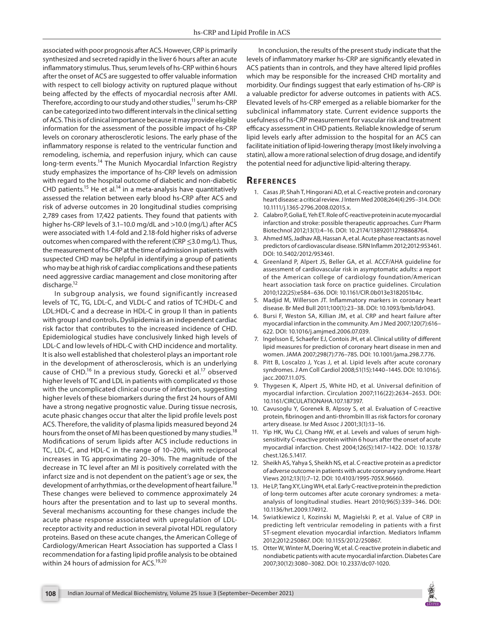associated with poor prognosis after ACS. However, CRP is primarily synthesized and secreted rapidly in the liver 6 hours after an acute inflammatory stimulus. Thus, serum levels of hs-CRP within 6 hours after the onset of ACS are suggested to offer valuable information with respect to cell biology activity on ruptured plaque without being affected by the effects of myocardial necrosis after AMI. Therefore, according to our study and other studies, $11$  serum hs-CRP can be categorized into two different intervals in the clinical setting of ACS. This is of clinical importance because it may provide eligible information for the assessment of the possible impact of hs-CRP levels on coronary atherosclerotic lesions. The early phase of the inflammatory response is related to the ventricular function and remodeling, ischemia, and reperfusion injury, which can cause long-term events.<sup>14</sup> The Munich Myocardial Infarction Registry study emphasizes the importance of hs-CRP levels on admission with regard to the hospital outcome of diabetic and non-diabetic CHD patients.<sup>15</sup> He et al.<sup>14</sup> in a meta-analysis have quantitatively assessed the relation between early blood hs-CRP after ACS and risk of adverse outcomes in 20 longitudinal studies comprising 2,789 cases from 17,422 patients. They found that patients with higher hs-CRP levels of 3.1–10.0 mg/dL and >10.0 (mg/L) after ACS were associated with 1.4-fold and 2.18-fold higher risks of adverse outcomes when compared with the referent (CRP  $\leq$ 3.0 mg/L). Thus, the measurement of hs-CRP at the time of admission in patients with suspected CHD may be helpful in identifying a group of patients who may be at high risk of cardiac complications and these patients need aggressive cardiac management and close monitoring after discharge.<sup>12</sup>

In subgroup analysis, we found significantly increased levels of TC, TG, LDL-C, and VLDL-C and ratios of TC:HDL-C and LDL:HDL-C and a decrease in HDL-C in group II than in patients with group I and controls**.** Dyslipidemia is an independent cardiac risk factor that contributes to the increased incidence of CHD. Epidemiological studies have conclusively linked high levels of LDL-C and low levels of HDL-C with CHD incidence and mortality. It is also well established that cholesterol plays an important role in the development of atherosclerosis, which is an underlying cause of CHD.<sup>16</sup> In a previous study, Gorecki et al.<sup>17</sup> observed higher levels of TC and LDL in patients with complicated *vs* those with the uncomplicated clinical course of infarction, suggesting higher levels of these biomarkers during the first 24 hours of AMI have a strong negative prognostic value. During tissue necrosis, acute phasic changes occur that alter the lipid profile levels post ACS. Therefore, the validity of plasma lipids measured beyond 24 hours from the onset of MI has been questioned by many studies.<sup>18</sup> Modifications of serum lipids after ACS include reductions in TC, LDL-C, and HDL-C in the range of 10–20%, with reciprocal increases in TG approximating 20–30%. The magnitude of the decrease in TC level after an MI is positively correlated with the infarct size and is not dependent on the patient's age or sex, the development of arrhythmias, or the development of heart failure.<sup>18</sup> These changes were believed to commence approximately 24 hours after the presentation and to last up to several months. Several mechanisms accounting for these changes include the acute phase response associated with upregulation of LDLreceptor activity and reduction in several pivotal HDL regulatory proteins. Based on these acute changes, the American College of Cardiology/American Heart Association has supported a Class I recommendation for a fasting lipid profile analysis to be obtained within 24 hours of admission for ACS.<sup>19,20</sup>

In conclusion, the results of the present study indicate that the levels of inflammatory marker hs-CRP are significantly elevated in ACS patients than in controls, and they have altered lipid profiles which may be responsible for the increased CHD mortality and morbidity. Our findings suggest that early estimation of hs-CRP is a valuable predictor for adverse outcomes in patients with ACS. Elevated levels of hs-CRP emerged as a reliable biomarker for the subclinical inflammatory state. Current evidence supports the usefulness of hs-CRP measurement for vascular risk and treatment efficacy assessment in CHD patients. Reliable knowledge of serum lipid levels early after admission to the hospital for an ACS can facilitate initiation of lipid-lowering therapy (most likely involving a statin), allow a more rational selection of drug dosage, and identify the potential need for adjunctive lipid-altering therapy.

#### **Re f e r e n c e s**

- 1. Casas JP, Shah T, Hingorani AD, et al. C-reactive protein and coronary heart disease: a critical review. J Intern Med 2008;264(4):295–314. DOI: 10.1111/j.1365-2796.2008.02015.x.
- 2. Calabro P, Golia E, Yeh ET. Role of C-reactive protein in acute myocardial infarction and stroke: possible therapeutic approaches. Curr Pharm Biotechnol 2012;13(1):4–16. DOI: 10.2174/138920112798868764.
- 3. Ahmed MS, Jadhav AB, Hassan A, et al. Acute phase reactants as novel predictors of cardiovascular disease. ISRN Inflamm 2012;2012:953461. DOI: 10.5402/2012/953461.
- 4. Greenland P, Alpert JS, Beller GA, et al. ACCF/AHA guideline for assessment of cardiovascular risk in asymptomatic adults: a report of the American college of cardiology foundation/American heart association task force on practice guidelines. Circulation 2010;122(25):e584–636. DOI: 10.1161/CIR.0b013e3182051b4c.
- 5. Madjid M, Willerson JT. Inflammatory markers in coronary heart disease. Br Med Bull 2011;100(1):23–38. DOI: 10.1093/bmb/ldr043.
- 6. Bursi F, Weston SA, Killian JM, et al. CRP and heart failure after myocardial infarction in the community. Am J Med 2007;120(7):616– 622. DOI: 10.1016/j.amjmed.2006.07.039.
- 7. Ingelsson E, Schaefer EJ, Contois JH, et al. Clinical utility of different lipid measures for prediction of coronary heart disease in men and women. JAMA 2007;298(7):776–785. DOI: 10.1001/jama.298.7.776.
- 8. Pitt B, Loscalzo J, Ycas J, et al. Lipid levels after acute coronary syndromes. J Am Coll Cardiol 2008;51(15):1440–1445. DOI: 10.1016/j. jacc.2007.11.075.
- 9. Thygesen K, Alpert JS, White HD, et al. Universal definition of myocardial infarction. Circulation 2007;116(22):2634–2653. DOI: 10.1161/CIRCULATIONAHA.107.187397.
- 10. Cavusoglu Y, Gorenek B, Alpsoy S, et al. Evaluation of C-reactive protein, fibrinogen and anti-thrombin III as risk factors for coronary artery disease. Isr Med Assoc J 2001;3(1):13–16.
- 11. Yip HK, Wu CJ, Chang HW, et al. Levels and values of serum highsensitivity C-reactive protein within 6 hours after the onset of acute myocardial infarction. Chest 2004;126(5):1417–1422. DOI: 10.1378/ chest.126.5.1417.
- 12. Sheikh AS, Yahya S, Sheikh NS, et al. C-reactive protein as a predictor of adverse outcome in patients with acute coronary syndrome. Heart Views 2012;13(1):7–12. DOI: 10.4103/1995-705X.96660.
- 13. He LP, Tang XY, Ling WH, et al. Early C-reactive protein in the prediction of long-term outcomes after acute coronary syndromes: a metaanalysis of longitudinal studies. Heart 2010;96(5):339–346. DOI: 10.1136/hrt.2009.174912.
- 14. Swiatkiewicz I, Kozinski M, Magielski P, et al. Value of CRP in predicting left ventricular remodeling in patients with a first ST-segment elevation myocardial infarction. Mediators Inflamm 2012;2012:250867. DOI: 10.1155/2012/250867.
- 15. Otter W, Winter M, Doering W, et al. C-reactive protein in diabetic and nondiabetic patients with acute myocardial infarction. Diabetes Care 2007;30(12):3080–3082. DOI: 10.2337/dc07-1020.